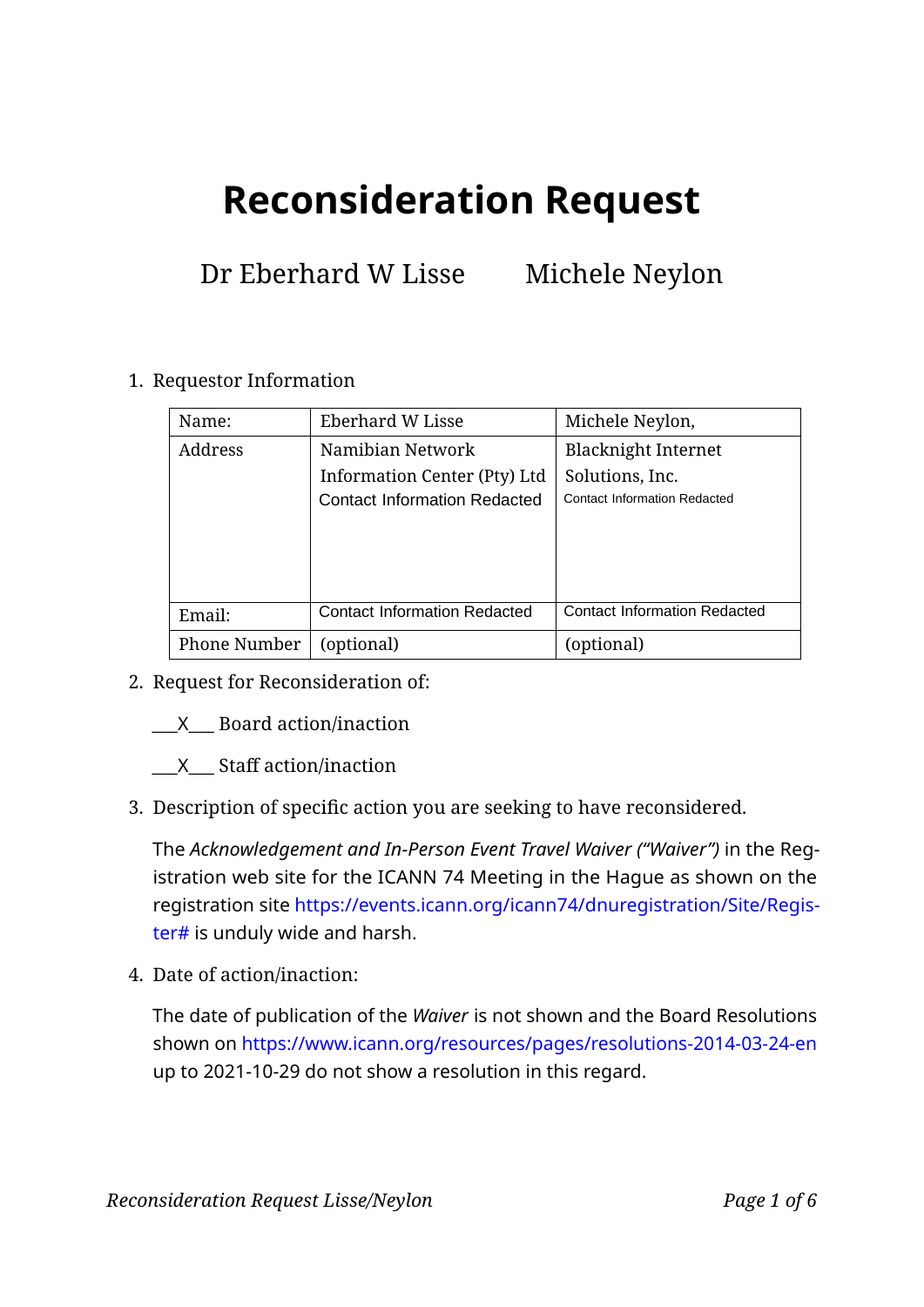# **Reconsideration Request**

### Dr Eberhard W Lisse Michele Neylon

|                                                                             | Name:        | Eberhard W Lisse                    | Michele Neylon,                     |  |
|-----------------------------------------------------------------------------|--------------|-------------------------------------|-------------------------------------|--|
|                                                                             | Address      | Namibian Network                    | <b>Blacknight Internet</b>          |  |
|                                                                             |              | Information Center (Pty) Ltd        | Solutions, Inc.                     |  |
|                                                                             |              | <b>Contact Information Redacted</b> | <b>Contact Information Redacted</b> |  |
|                                                                             |              |                                     |                                     |  |
|                                                                             |              |                                     |                                     |  |
|                                                                             |              |                                     |                                     |  |
|                                                                             | Email:       | <b>Contact Information Redacted</b> | <b>Contact Information Redacted</b> |  |
|                                                                             | Phone Number | (optional)                          | (optional)                          |  |
| Request for Reconsideration of:                                             |              |                                     |                                     |  |
|                                                                             |              |                                     |                                     |  |
| X Board action/inaction                                                     |              |                                     |                                     |  |
| X Staff action/inaction                                                     |              |                                     |                                     |  |
|                                                                             |              |                                     |                                     |  |
| Description of specific action you are seeking to have reconsidered.        |              |                                     |                                     |  |
| The Acknowledgement and In-Person Event Travel Waiver ("Waiver") in the Re  |              |                                     |                                     |  |
| istration web site for the ICANN 74 Meeting in the Hague as shown on tl     |              |                                     |                                     |  |
| registration site https://events.icann.org/icann74/dnuregistration/Site/Rec |              |                                     |                                     |  |
|                                                                             |              |                                     |                                     |  |

#### 1. Requestor Information

- 2. Request for Reconsideration of:
	- \_\_\_X\_\_\_ Board action/inaction
	- $X$  Staff action/inaction
- 3. Description of specific action you are seeking to have reconsidered.

The *Acknowledgement and In-Person Event Travel Waiver ("Waiver")* in the Registration web site for the ICANN 74 Meeting in the Hague as shown on the registration site https://events.icann.org/icann74/dnuregistration/Site/Register# is unduly wide and harsh.

4. Date of action/inaction:

The date of publication of the *Waiver* is not shown and the Board Resolutions shown on https://www.icann.org/resources/pages/resolutions-2014-03-24-en up to 2021-10-29 do not show a resolution in this regard.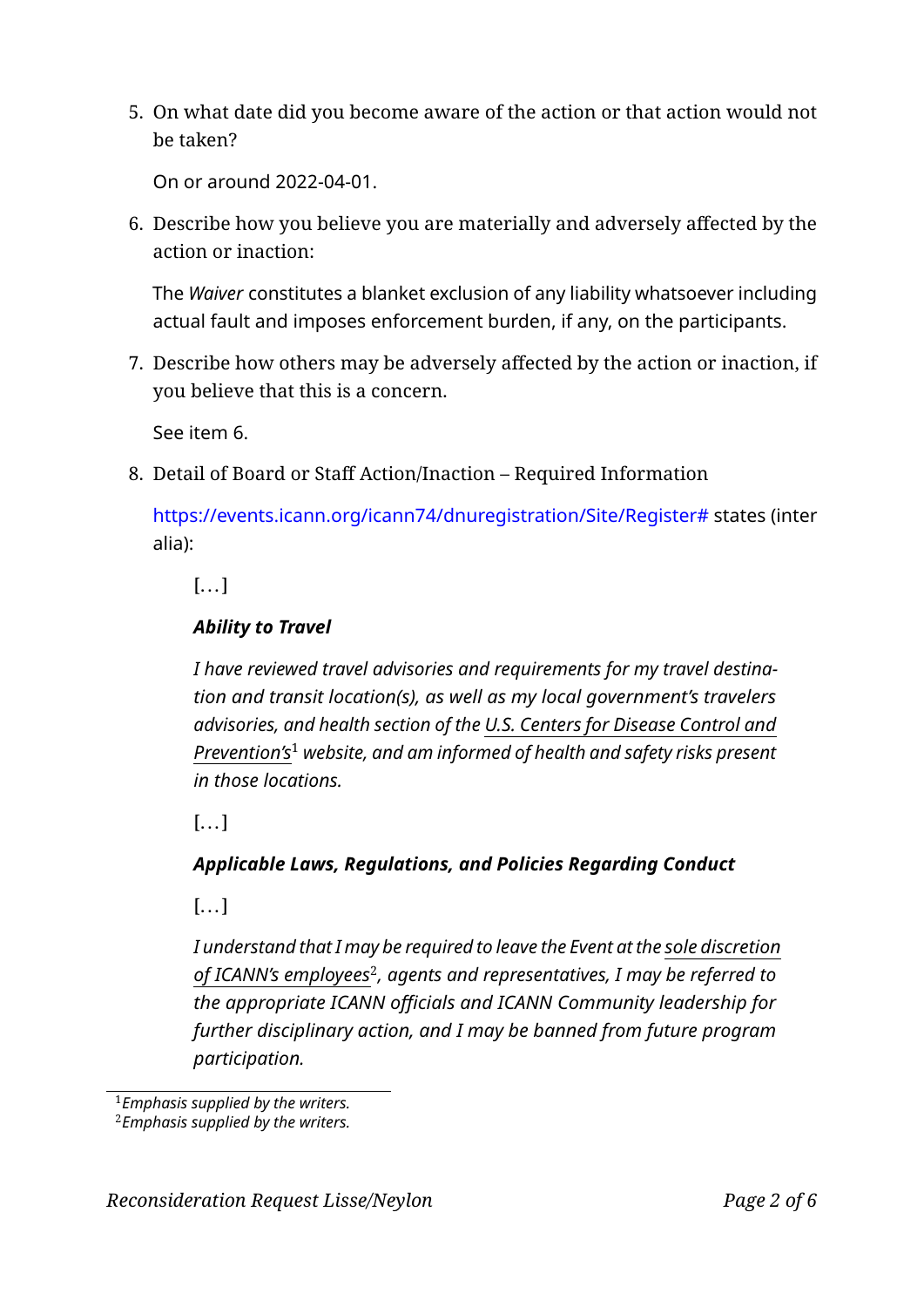5. On what date did you become aware of the action or that action would not be taken?

On or around 2022-04-01.

6. Describe how you believe you are materially and adversely affected by the action or inaction:

The *Waiver* constitutes a blanket exclusion of any liability whatsoever including actual fault and imposes enforcement burden, if any, on the participants.

7. Describe how others may be adversely affected by the action or inaction, if you believe that this is a concern.

See item 6.

8. Detail of Board or Staff Action/Inaction – Required Information

https://events.icann.org/icann74/dnuregistration/Site/Register# states (inter alia):

 $[...]$ 

#### *Ability to Travel*

See item 6.<br>
See item 6.<br>
Detail of Board or Staff Action/Inaction – Required Information<br>
https://events.icann.org/icann74/dnuregistration/Site/Register# state:<br>
alia):<br>
[...]<br> **Ability to Trave!**<br>
I have reviewed travel *I have reviewed travel advisories and requirements for my travel destination and transit location(s), as well as my local government's travelers advisories, and health section of the U.S. Centers for Disease Control and Prevention's* <sup>1</sup> *website, and am informed of health and safety risks present in those locations.*

 $[$ ... $]$ 

### *Applicable Laws, Regulations, and Policies Regarding Conduct*

 $[...]$ 

*I understand that I may be required to leave the Event at the sole discretion of ICANN's employees* 2 *, agents and representatives, I may be referred to* the appropriate ICANN officials and ICANN Community leadership for *further disciplinary action, and I may be banned from future program participation.*

<sup>1</sup>*Emphasis supplied by the writers.*

<sup>2</sup>*Emphasis supplied by the writers.*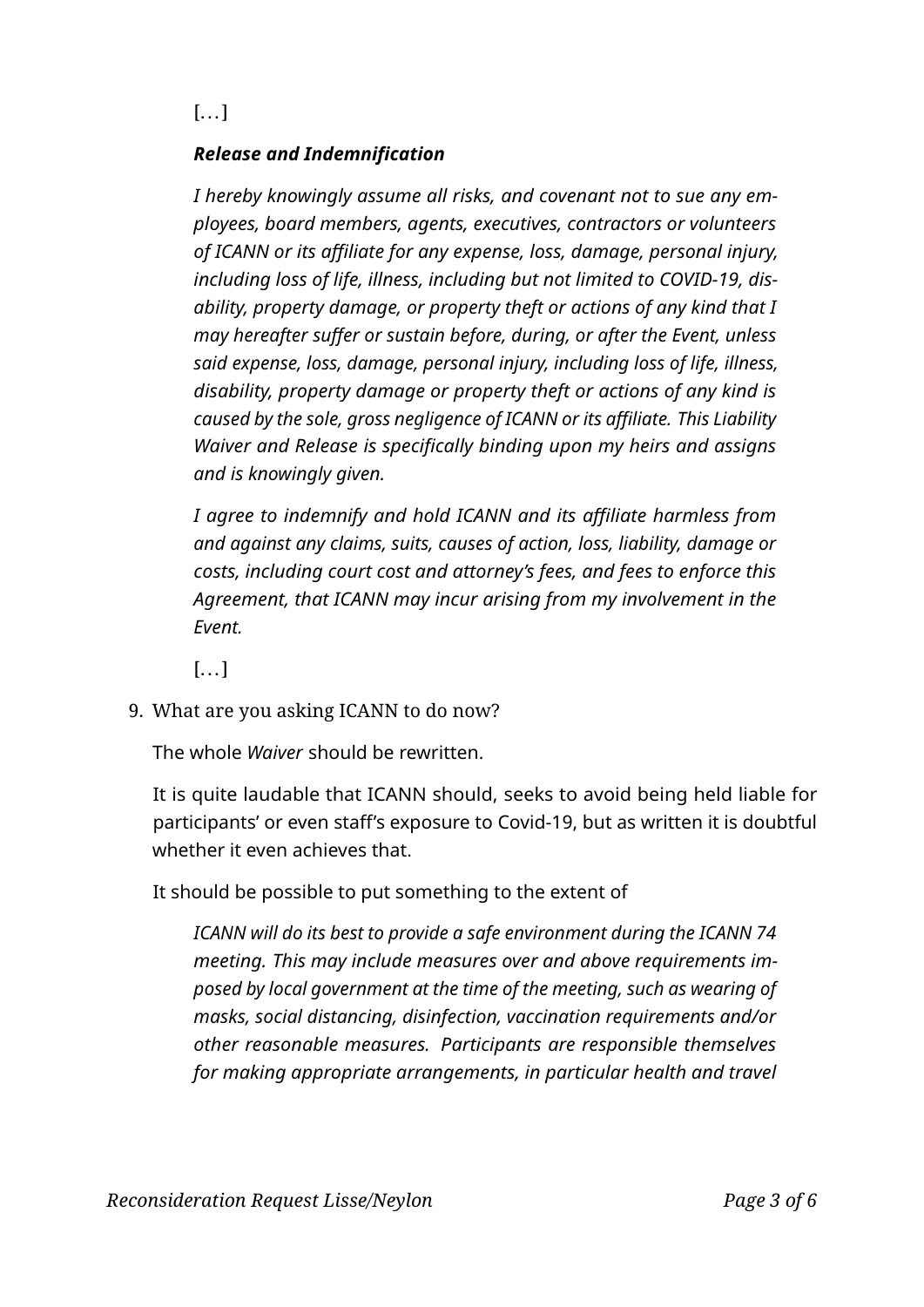$[$ ... $]$ 

### *Release and Indemnification*

*I hereby knowingly assume all risks, and covenant not to sue any employees, board members, agents, executives, contractors or volunteers of ICANN or its aliate for any expense, loss, damage, personal injury, including loss of life, illness, including but not limited to COVID-19, disability, property damage, or property theft or actions of any kind that I may hereafter suffer or sustain before, during, or after the Event, unless said expense, loss, damage, personal injury, including loss of life, illness, disability, property damage or property theft or actions of any kind is* caused by the sole, gross negligence of ICANN or its affiliate. This Liability *Waiver and Release is specifically binding upon my heirs and assigns and is knowingly given.*

alsability, property aamage or property thert or actions of any kind<br>caused by the sole, gross negligence of ICANN or its affiliate. This Liabili<br>Waiver and Release is specifically binding upon my heirs and assign<br>and is k *I agree to indemnify and hold ICANN and its affiliate harmless from and against any claims, suits, causes of action, loss, liability, damage or costs, including court cost and attorney's fees, and fees to enforce this Agreement, that ICANN may incur arising from my involvement in the Event.*

 $[...]$ 

9. What are you asking ICANN to do now?

The whole *Waiver* should be rewritten.

It is quite laudable that ICANN should, seeks to avoid being held liable for participants' or even staff's exposure to Covid-19, but as written it is doubtful whether it even achieves that.

It should be possible to put something to the extent of

*ICANN will do its best to provide a safe environment during the ICANN 74 meeting. This may include measures over and above requirements imposed by local government at the time of the meeting, such as wearing of masks, social distancing, disinfection, vaccination requirements and/or other reasonable measures. Participants are responsible themselves for making appropriate arrangements, in particular health and travel*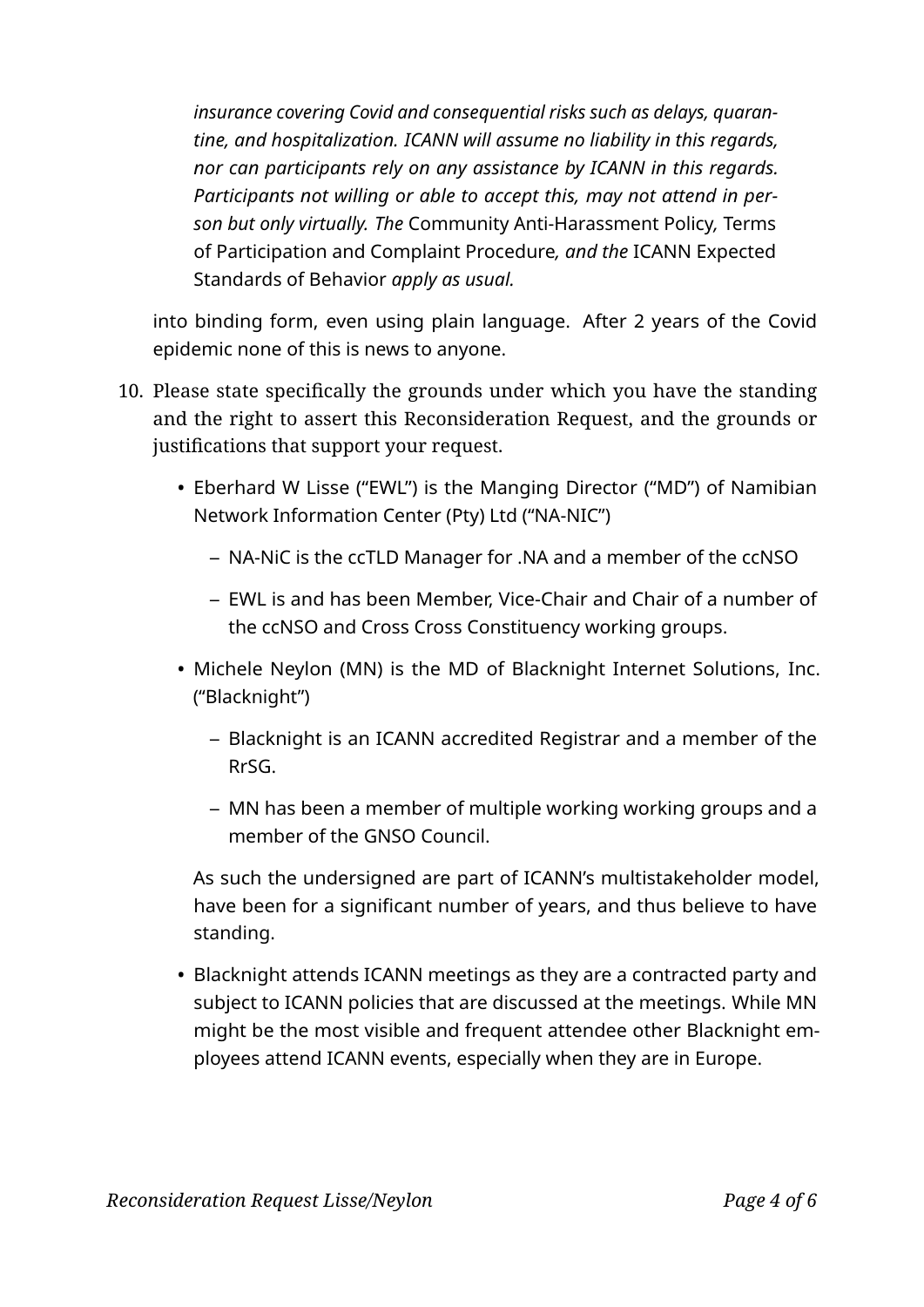*insurance covering Covid and consequential risks such as delays, quarantine, and hospitalization. ICANN will assume no liability in this regards, nor can participants rely on any assistance by ICANN in this regards. Participants not willing or able to accept this, may not attend in person but only virtually. The* Community Anti-Harassment Policy*,* Terms of Participation and Complaint Procedure*, and the* ICANN Expected Standards of Behavior *apply as usual.*

into binding form, even using plain language. After 2 years of the Covid epidemic none of this is news to anyone.

- Draft, 2022-04-11 10. Please state specifically the grounds under which you have the standing and the right to assert this Reconsideration Request, and the grounds or justifications that support your request.
	- Eberhard W Lisse ("EWL") is the Manging Director ("MD") of Namibian Network Information Center (Pty) Ltd ("NA-NIC")
		- **–** NA-NiC is the ccTLD Manager for .NA and a member of the ccNSO
		- **–** EWL is and has been Member, Vice-Chair and Chair of a number of the ccNSO and Cross Cross Constituency working groups.
	- Michele Neylon (MN) is the MD of Blacknight Internet Solutions, Inc. ("Blacknight")
		- **–** Blacknight is an ICANN accredited Registrar and a member of the RrSG.
		- **–** MN has been a member of multiple working working groups and a member of the GNSO Council.

As such the undersigned are part of ICANN's multistakeholder model, have been for a significant number of years, and thus believe to have standing.

• Blacknight attends ICANN meetings as they are a contracted party and subject to ICANN policies that are discussed at the meetings. While MN might be the most visible and frequent attendee other Blacknight employees attend ICANN events, especially when they are in Europe.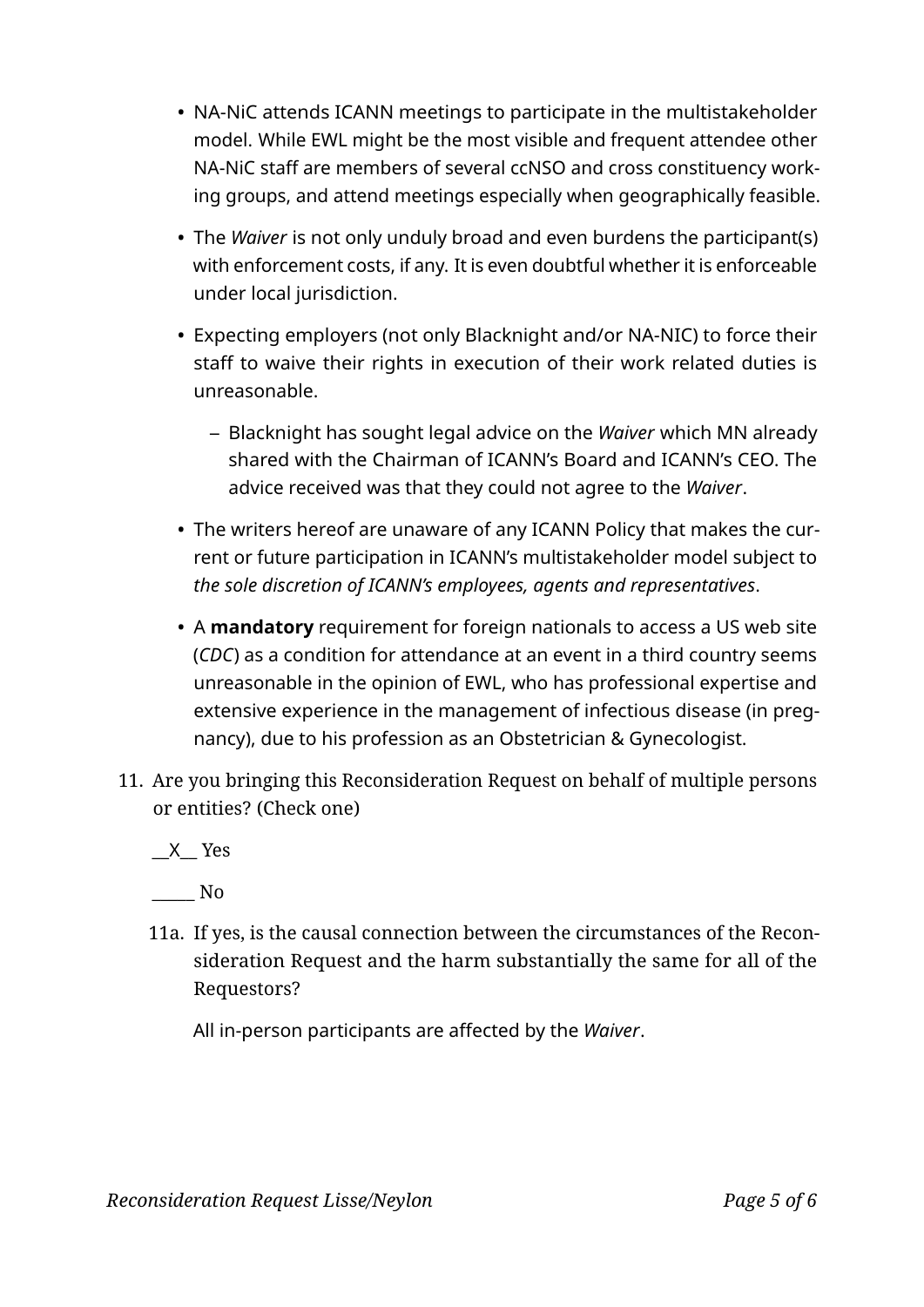- model. While EWL might be the most visible and frequent attendee other NA-NiC staff are members of several ccNSO and cross constituency working groups, and attend meetings especially when geographically feasible.
- The *Waiver* is not only unduly broad and even burdens the participant(s) with enforcement costs, if any. It is even doubtful whether it is enforceable under local jurisdiction.
- Expecting employers (not only Blacknight and/or NA-NIC) to force their staff to waive their rights in execution of their work related duties is unreasonable.
	- **–** Blacknight has sought legal advice on the *Waiver* which MN already shared with the Chairman of ICANN's Board and ICANN's CEO. The advice received was that they could not agree to the *Waiver* .
- The writers hereof are unaware of any ICANN Policy that makes the current or future participation in ICANN's multistakeholder model subject to *the sole discretion of ICANN's employees, agents and representatives* .
- NA-NiC attends ICANN meetings to participate in the multistakeholder<br>
model. While EWL might be the most visible and frequent attende other<br>
NA-NiC staff are members of several ccNSO and cross constituency work<br>
ing gro • A **mandatory** requirement for foreign nationals to access a US web site (*CDC*) as a condition for attendance at an event in a third country seems unreasonable in the opinion of EWL, who has professional expertise and extensive experience in the management of infectious disease (in pregnancy), due to his profession as an Obstetrician & Gynecologist.
- 11. Are you bringing this Reconsideration Request on behalf of multiple persons or entities? (Check one)

\_\_ X\_\_ Yes

\_\_\_\_\_ No

11a. If yes, is the causal connection between the circumstances of the Reconsideration Request and the harm substantially the same for all of the Requestors?

All in-person participants are affected by the *Waiver*.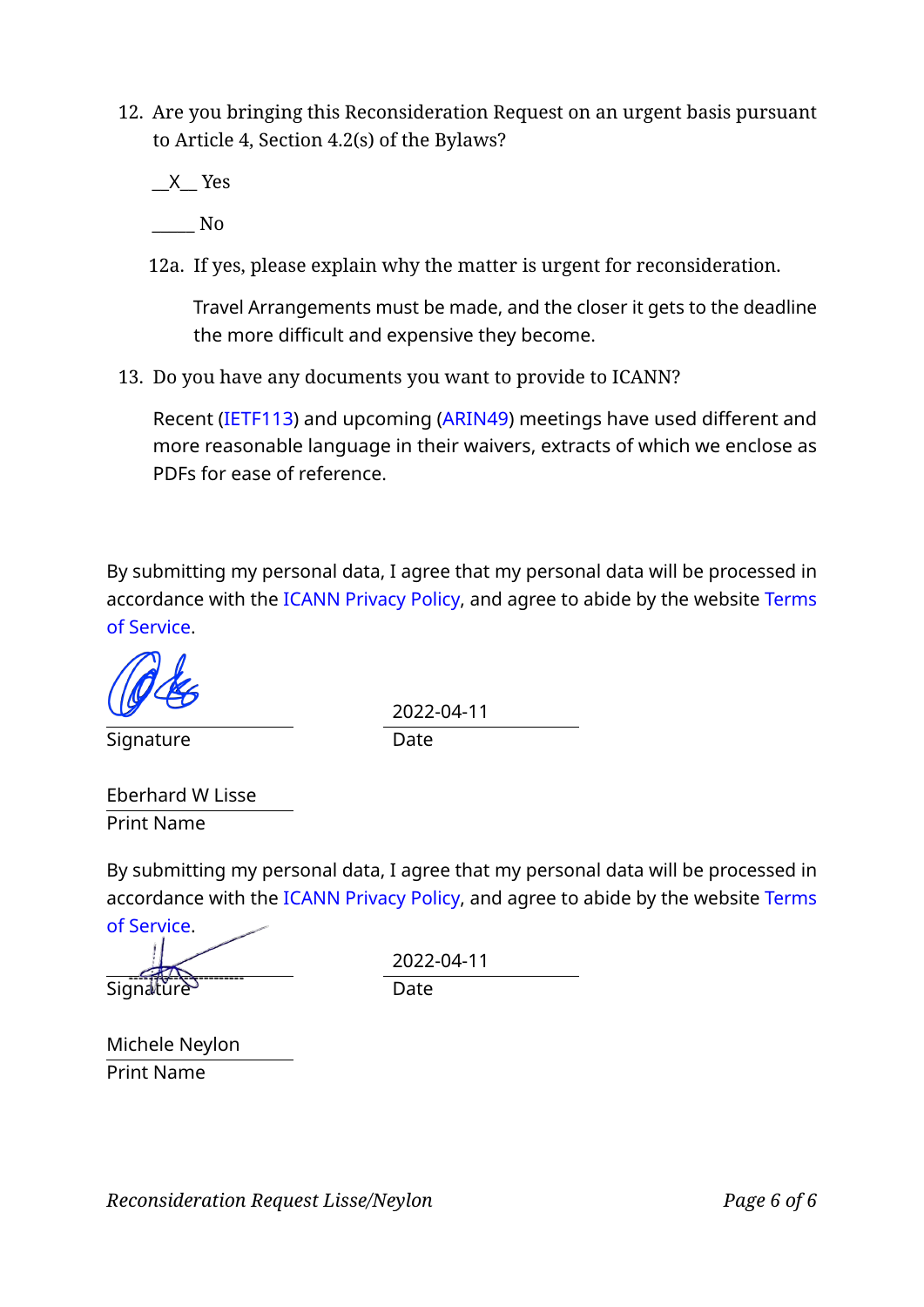12. Are you bringing this Reconsideration Request on an urgent basis pursuant to Article 4, Section 4.2(s) of the Bylaws?

\_\_ X\_\_ Yes

\_\_\_\_\_ No

12a. If yes, please explain why the matter is urgent for reconsideration.

Travel Arrangements must be made, and the closer it gets to the deadline the more difficult and expensive they become.

13. Do you have any documents you want to provide to ICANN?

Recent (IETF113) and upcoming (ARIN49) meetings have used different and more reasonable language in their waivers, extracts of which we enclose as PDFs for ease of reference.

Recent (IETF113) and upcoming (ARIN49) meetings have used differe<br>more reasonable language in their waivers, extracts of which we encl<br>PDFs for ease of reference.<br>bmitting my personal data, I agree that my personal data wi By submitting my personal data, I agree that my personal data will be processed in accordance with the ICANN Privacy Policy, and agree to abide by the website Terms of Service .

Signature Date

2022-04-11

Eberhard W Lisse Print Name

By submitting my personal data, I agree that my personal data will be processed in accordance with the ICANN Privacy Policy, and agree to abide by the website Terms

of Service . Signature Date

2022-04-11

Michele Neylon Print Name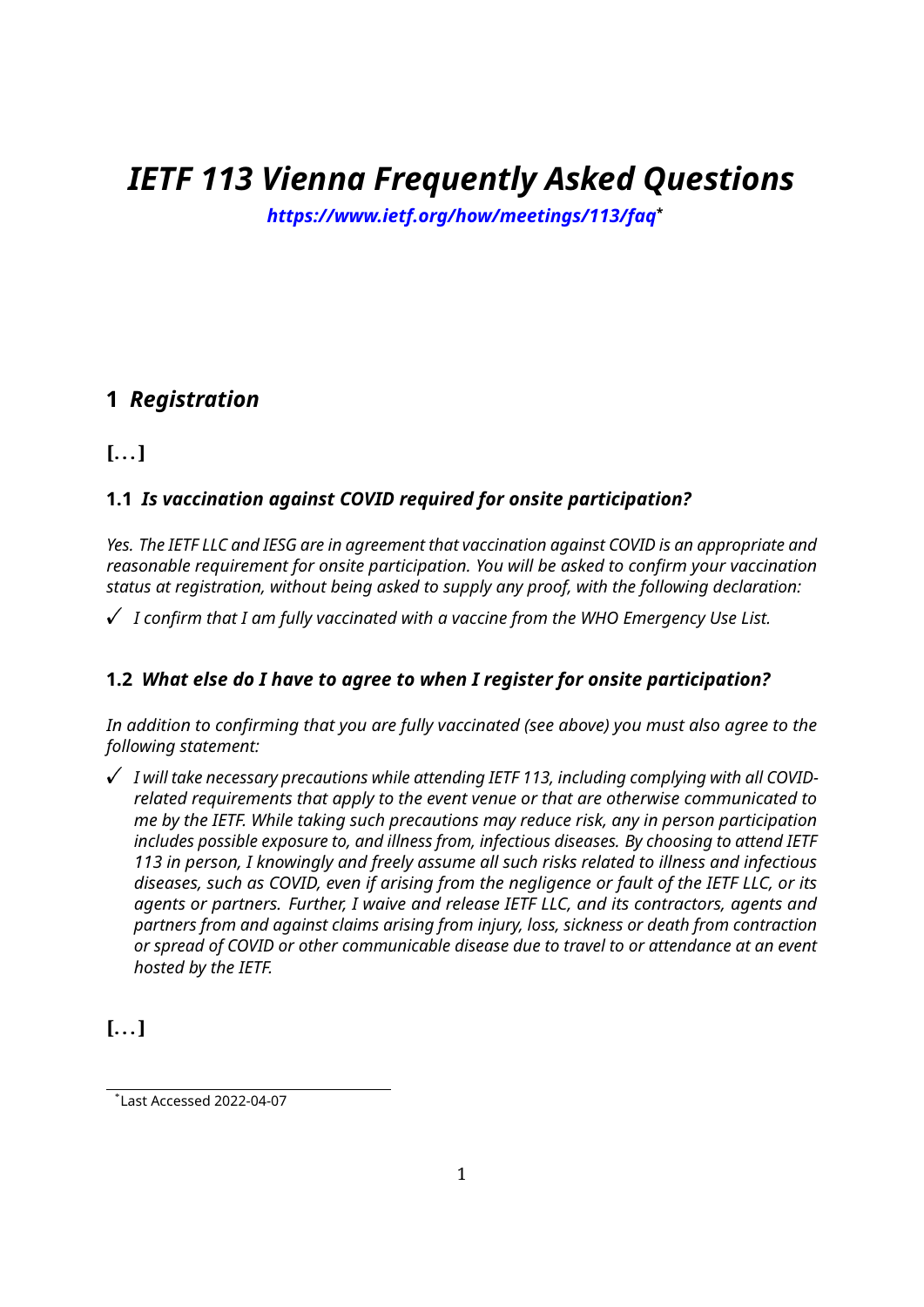## *IETF 113 Vienna Frequently Asked Questions*

*https://www.ietf.org/how/meetings/113/faq***\***

### **1** *Registration*

**[... ]**

### **1.1** *Is vaccination against COVID required for onsite participation?*

*Yes. The IETF LLC and IESG are in agreement that vaccination against COVID is an appropriate and reasonable requirement for onsite participation. You will be asked to confirm your vaccination status at registration, without being asked to supply any proof, with the following declaration:*

 $\checkmark$   $\,$  I confirm that I am fully vaccinated with a vaccine from the WHO Emergency Use List.

### **1.2** *What else do I have to agree to when I register for onsite participation?*

*In addition to confirming that you are fully vaccinated (see above) you must also agree to the following statement:*

 $\checkmark$  I will take necessary precautions while attending IETF 113, including complying with all COVID*related requirements that apply to the event venue or that are otherwise communicated to me by the IETF. While taking such precautions may reduce risk, any in person participation includes possible exposure to, and illness from, infectious diseases. By choosing to attend IETF 113 in person, I knowingly and freely assume all such risks related to illness and infectious diseases, such as COVID, even if arising from the negligence or fault of the IETF LLC, or its agents or partners. Further, I waive and release IETF LLC, and its contractors, agents and partners from and against claims arising from injury, loss, sickness or death from contraction or spread of COVID or other communicable disease due to travel to or attendance at an event hosted by the IETF.*

**[... ]**

 $*$ Last Accessed 2022-04-07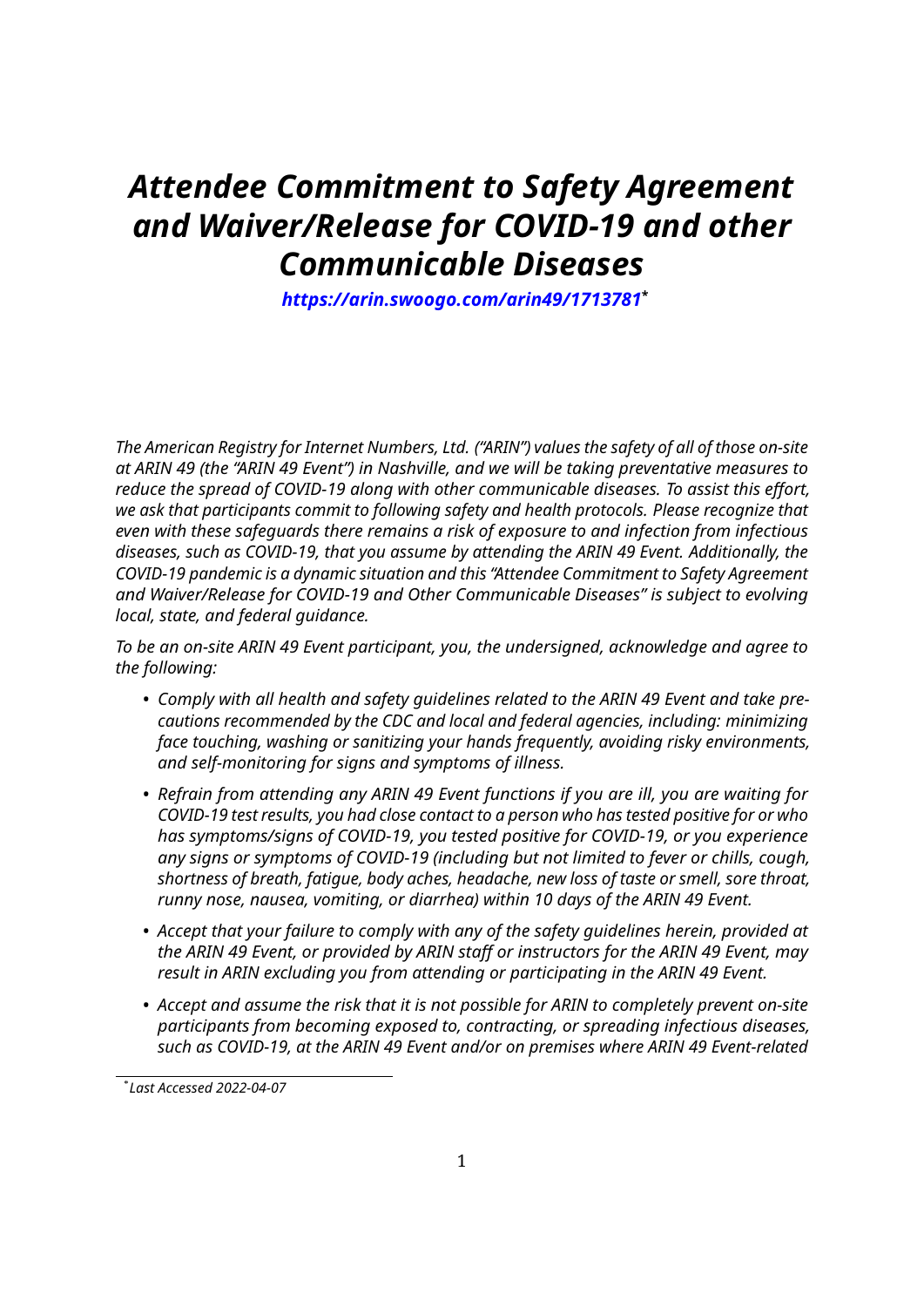### *Attendee Commitment to Safety Agreement and Waiver/Release for COVID-19 and other Communicable Diseases*

*https://arin.swoogo.com/arin49/1713781***\***

*The American Registry for Internet Numbers, Ltd. ("ARIN") values the safety of all of those on-site at ARIN 49 (the "ARIN 49 Event") in Nashville, and we will be taking preventative measures to* reduce the spread of COVID-19 along with other communicable diseases. To assist this effort, *we ask that participants commit to following safety and health protocols. Please recognize that even with these safeguards there remains a risk of exposure to and infection from infectious diseases, such as COVID-19, that you assume by attending the ARIN 49 Event. Additionally, the COVID-19 pandemic is a dynamic situation and this "Attendee Commitment to Safety Agreement and Waiver/Release for COVID-19 and Other Communicable Diseases" is subject to evolving local, state, and federal guidance.*

*To be an on-site ARIN 49 Event participant, you, the undersigned, acknowledge and agree to the following:*

- *Comply with all health and safety guidelines related to the ARIN 49 Event and take precautions recommended by the CDC and local and federal agencies, including: minimizing face touching, washing or sanitizing your hands frequently, avoiding risky environments, and self-monitoring for signs and symptoms of illness.*
- *Refrain from attending any ARIN 49 Event functions if you are ill, you are waiting for COVID-19 test results, you had close contact to a person who has tested positive for or who has symptoms/signs of COVID-19, you tested positive for COVID-19, or you experience any signs or symptoms of COVID-19 (including but not limited to fever or chills, cough, shortness of breath, fatigue, body aches, headache, new loss of taste or smell, sore throat, runny nose, nausea, vomiting, or diarrhea) within 10 days of the ARIN 49 Event.*
- *Accept that your failure to comply with any of the safety guidelines herein, provided at* the ARIN 49 Event, or provided by ARIN staff or instructors for the ARIN 49 Event, may *result in ARIN excluding you from attending or participating in the ARIN 49 Event.*
- *Accept and assume the risk that it is not possible for ARIN to completely prevent on-site participants from becoming exposed to, contracting, or spreading infectious diseases, such as COVID-19, at the ARIN 49 Event and/or on premises where ARIN 49 Event-related*

<sup>\*</sup> *Last Accessed 2022-04-07*